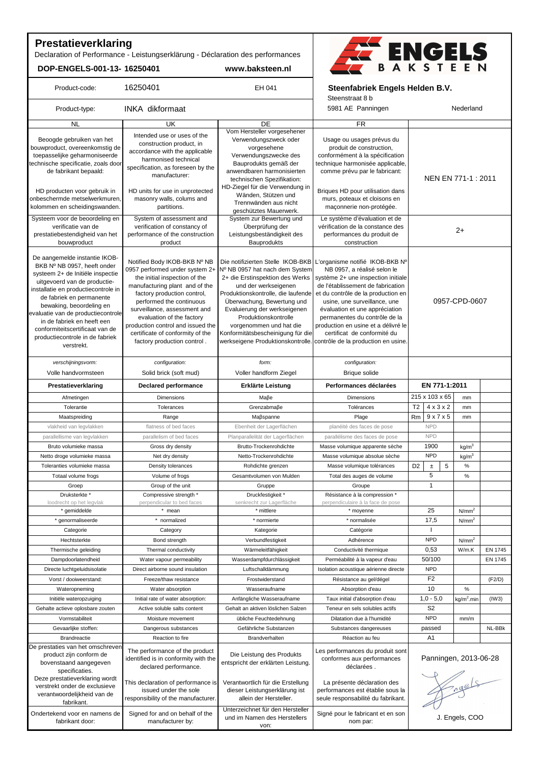# **Prestatieverklaring**

Declaration of Performance - Leistungserklärung - Déclaration des performances

**DOP-ENGELS-001-13- 16250401 www.baksteen.nl**



| Product-code:                                                   | 16250401                                            | EH 041                               | Steenfabriek Engels Helden B.V.                             |                                         |                   |         |  |
|-----------------------------------------------------------------|-----------------------------------------------------|--------------------------------------|-------------------------------------------------------------|-----------------------------------------|-------------------|---------|--|
|                                                                 |                                                     |                                      | Steenstraat 8 b                                             |                                         |                   |         |  |
| Product-type:                                                   | INKA dikformaat                                     |                                      | 5981 AE Panningen                                           | Nederland                               |                   |         |  |
| <b>NL</b>                                                       | UK                                                  | <b>DE</b>                            | $\overline{FR}$                                             |                                         |                   |         |  |
|                                                                 | Intended use or uses of the                         | Vom Hersteller vorgesehener          |                                                             |                                         |                   |         |  |
| Beoogde gebruiken van het<br>bouwproduct, overeenkomstig de     | construction product, in                            | Verwendungszweck oder                | Usage ou usages prévus du                                   |                                         |                   |         |  |
| toepasselijke geharmoniseerde                                   | accordance with the applicable                      | vorgesehene<br>Verwendungszwecke des | produit de construction,<br>conformément à la spécification |                                         |                   |         |  |
| technische specificatie, zoals door                             | harmonised technical                                | Bauprodukts gemäß der                | technique harmonisée applicable,                            |                                         |                   |         |  |
| de fabrikant bepaald:                                           | specification, as foreseen by the                   | anwendbaren harmonisierten           | comme prévu par le fabricant:                               |                                         |                   |         |  |
|                                                                 | manufacturer:                                       | technischen Spezifikation:           |                                                             | NEN EN 771-1 : 2011                     |                   |         |  |
|                                                                 |                                                     | HD-Ziegel für die Verwendung in      |                                                             |                                         |                   |         |  |
| HD producten voor gebruik in                                    | HD units for use in unprotected                     | Wänden, Stützen und                  | Briques HD pour utilisation dans                            |                                         |                   |         |  |
| onbeschermde metselwerkmuren,                                   | masonry walls, colums and                           | Trennwänden aus nicht                | murs, poteaux et cloisons en                                |                                         |                   |         |  |
| kolommen en scheidingswanden.                                   | partitions.                                         | geschütztes Mauerwerk.               | maçonnerie non-protégée.                                    |                                         |                   |         |  |
| Systeem voor de beoordeling en                                  | System of assessment and                            | System zur Bewertung und             | Le système d'évaluation et de                               |                                         |                   |         |  |
| verificatie van de                                              | verification of constancy of                        | Überprüfung der                      | vérification de la constance des                            | $2+$                                    |                   |         |  |
| prestatiebestendigheid van het                                  | performance of the construction                     | Leistungsbeständigkeit des           | performances du produit de                                  |                                         |                   |         |  |
| bouwproduct                                                     | product                                             | Bauprodukts                          | construction                                                |                                         |                   |         |  |
|                                                                 |                                                     |                                      |                                                             |                                         |                   |         |  |
| De aangemelde instantie IKOB-                                   | Notified Body IKOB-BKB Nº NB                        | Die notifizierten Stelle IKOB-BKB    | L'organisme notifié IKOB-BKB Nº                             |                                         |                   |         |  |
| BKB Nº NB 0957, heeft onder                                     | 0957 performed under system 2+                      | Nº NB 0957 hat nach dem System       | NB 0957, a réalisé selon le                                 |                                         |                   |         |  |
| systeem 2+ de Initiële inspectie                                | the initial inspection of the                       | 2+ die Erstinspektion des Werks      | système 2+ une inspection initiale                          |                                         |                   |         |  |
| uitgevoerd van de productie-                                    | manufacturing plant and of the                      | und der werkseigenen                 | de l'établissement de fabrication                           |                                         |                   |         |  |
| installatie en productiecontrole in                             | factory production control,                         | Produktionskontrolle, die laufende   | et du contrôle de la production en                          |                                         |                   |         |  |
| de fabriek en permanente                                        | performed the continuous                            | Überwachung, Bewertung und           | usine, une surveillance, une                                |                                         | 0957-CPD-0607     |         |  |
| bewaking, beoordeling en                                        | surveillance, assessment and                        | Evaluierung der werkseigenen         | évaluation et une appréciation                              |                                         |                   |         |  |
| evaluatie van de productiecontrole                              | evaluation of the factory                           | Produktionskontrolle                 | permanentes du contrôle de la                               |                                         |                   |         |  |
| in de fabriek en heeft een                                      | production control and issued the                   | vorgenommen und hat die              | production en usine et a délivré le                         |                                         |                   |         |  |
| conformiteitscertificaat van de                                 | certificate of conformity of the                    | Konformitätsbescheinigung für die    | certificat de conformité du                                 |                                         |                   |         |  |
| productiecontrole in de fabriek                                 | factory production control.                         | werkseigene Produktionskontrolle.    | contrôle de la production en usine.                         |                                         |                   |         |  |
| verstrekt.                                                      |                                                     |                                      |                                                             |                                         |                   |         |  |
| verschijningsvorm:                                              | configuration:                                      | form:                                | configuration:                                              |                                         |                   |         |  |
| Volle handvormsteen                                             | Solid brick (soft mud)                              | Voller handform Ziegel               | Brique solide                                               |                                         |                   |         |  |
| Prestatieverklaring                                             | <b>Declared performance</b>                         | Erklärte Leistung                    | Performances déclarées                                      | EN 771-1:2011                           |                   |         |  |
| Afmetingen                                                      | <b>Dimensions</b>                                   | Маβе                                 | Dimensions                                                  | 215 x 103 x 65                          | mm                |         |  |
| Tolerantie                                                      | Tolerances                                          | Grenzabmaße                          | Tolérances                                                  | $4 \times 3 \times 2$<br>T <sub>2</sub> | mm                |         |  |
| Maatspreiding                                                   | Range                                               | Maßspanne                            | Plage                                                       | 9x7x5<br>Rm                             | mm                |         |  |
| vlakheid van legvlakken                                         | flatness of bed faces                               | Ebenheit der Lagerflächen            | planéité des faces de pose                                  | <b>NPD</b>                              |                   |         |  |
| parallellisme van legvlakken                                    | parallelism of bed faces                            | Planparallelität der Lagerflächen    | parallélisme des faces de pose                              | <b>NPD</b>                              |                   |         |  |
|                                                                 |                                                     | Brutto-Trockenrohdichte              |                                                             |                                         |                   |         |  |
| Bruto volumieke massa                                           | Gross dry density                                   |                                      | Masse volumique apparente sèche                             | 1900                                    | kg/m <sup>3</sup> |         |  |
| Netto droge volumieke massa                                     | Net dry density                                     | Netto-Trockenrohdichte               | Masse volumique absolue sèche                               | <b>NPD</b>                              | kg/m <sup>3</sup> |         |  |
| Toleranties volumieke massa                                     | Density tolerances                                  | Rohdichte grenzen                    | Masse volumique tolérances                                  | 5<br>D <sub>2</sub><br>$\pm$            | $\%$              |         |  |
| Totaal volume frogs                                             | Volume of frogs                                     | Gesamtvolumen von Mulden             | Total des auges de volume                                   | 5                                       | $\%$              |         |  |
| Groep                                                           | Group of the unit                                   | Gruppe                               | Groupe                                                      | $\mathbf{1}$                            |                   |         |  |
| Druksterkte*                                                    | Compressive strength *                              | Druckfestigkeit *                    | Résistance à la compression *                               |                                         |                   |         |  |
| loodrecht op het legvlak                                        | perpendicular to bed faces                          | senkrecht zur Lagerfläche            | perpendiculaire à la face de pose                           |                                         |                   |         |  |
| * gemiddelde                                                    | * mean                                              | * mittlere                           | * moyenne                                                   | 25                                      | N/mm <sup>2</sup> |         |  |
| * genormaliseerde                                               | * normalized                                        | * normierte                          | * normalisée                                                | 17,5                                    | N/mm <sup>2</sup> |         |  |
| Categorie                                                       | Category                                            | Kategorie                            | Catégorie                                                   | H                                       |                   |         |  |
| Hechtsterkte                                                    | Bond strength                                       | Verbundfestigkeit                    | Adhérence                                                   | <b>NPD</b>                              | N/mm <sup>2</sup> |         |  |
|                                                                 |                                                     |                                      |                                                             |                                         |                   |         |  |
| Thermische geleiding                                            | Thermal conductivity                                | Wärmeleitfähigkeit                   | Conductivité thermique                                      | 0,53                                    | W/m.K             | EN 1745 |  |
| Dampdoorlatendheid                                              | Water vapour permeability                           | Wasserdampfdurchlässigkeit           | Perméabilité à la vapeur d'eau                              | 50/100                                  |                   | EN 1745 |  |
| Directe luchtgeluidsisolatie                                    | Direct airborne sound insulation                    | Luftschalldämmung                    | Isolation acoustique aérienne directe                       | <b>NPD</b>                              |                   |         |  |
| Vorst / dooiweerstand:                                          | Freeze/thaw resistance                              | Frostwiderstand                      | Résistance au gel/dégel                                     | F <sub>2</sub>                          |                   | (F2/D)  |  |
| Wateropneming                                                   | Water absorption                                    | Wasseraufname                        | Absorption d'eau                                            | 10                                      | $\%$              |         |  |
| Initiële wateropzuiging                                         |                                                     |                                      | Taux initial d'absorption d'eau                             | $1,0 - 5,0$                             | $kg/m2$ .min      | (1W3)   |  |
|                                                                 | Initial rate of water absorption:                   | Anfängliche Wasseraufname            |                                                             |                                         |                   |         |  |
| Gehalte actieve oplosbare zouten                                | Active soluble salts content                        | Gehalt an aktiven löslichen Salzen   | Teneur en sels solubles actifs                              | S <sub>2</sub>                          |                   |         |  |
|                                                                 |                                                     |                                      |                                                             |                                         |                   |         |  |
| Vormstabiliteit                                                 | Moisture movement                                   | übliche Feuchtedehnung               | Dilatation due à l'humidité                                 | <b>NPD</b>                              | mm/m              |         |  |
| Gevaarlijke stoffen:                                            | Dangerous substances                                | Gefährliche Substanzen               | Substances dangereuses                                      | passed                                  |                   |         |  |
| <b>Brandreactie</b>                                             | Reaction to fire                                    | Brandverhalten                       | Réaction au feu                                             | A <sub>1</sub>                          |                   |         |  |
|                                                                 |                                                     |                                      |                                                             |                                         |                   |         |  |
| product zijn conform de                                         | The performance of the product                      | Die Leistung des Produkts            | Les performances du produit sont                            |                                         |                   |         |  |
| bovenstaand aangegeven                                          | identified is in conformity with the                | entspricht der erklärten Leistung.   | conformes aux performances                                  | Panningen, 2013-06-28                   |                   |         |  |
| specificaties.                                                  | declared performance.                               |                                      | déclarées.                                                  |                                         |                   |         |  |
| Deze prestatieverklaring wordt                                  |                                                     |                                      |                                                             |                                         |                   |         |  |
| verstrekt onder de exclusieve                                   | This declaration of performance is                  | Verantwortlich für die Erstellung    | La présente déclaration des                                 |                                         |                   |         |  |
| De prestaties van het omschreven<br>verantwoordelijkheid van de | issued under the sole                               | dieser Leistungserklärung ist        | performances est établie sous la                            |                                         |                   |         |  |
| fabrikant.                                                      | responsibility of the manufacturer.                 | allein der Hersteller.               | seule responsabilité du fabrikant.                          | Freels                                  |                   |         |  |
|                                                                 |                                                     | Unterzeichnet für den Hersteller     |                                                             |                                         |                   |         |  |
| Ondertekend voor en namens de<br>fabrikant door:                | Signed for and on behalf of the<br>manufacturer by: | und im Namen des Herstellers<br>von: | Signé pour le fabricant et en son<br>nom par:               |                                         | J. Engels, COO    | NL-BBk  |  |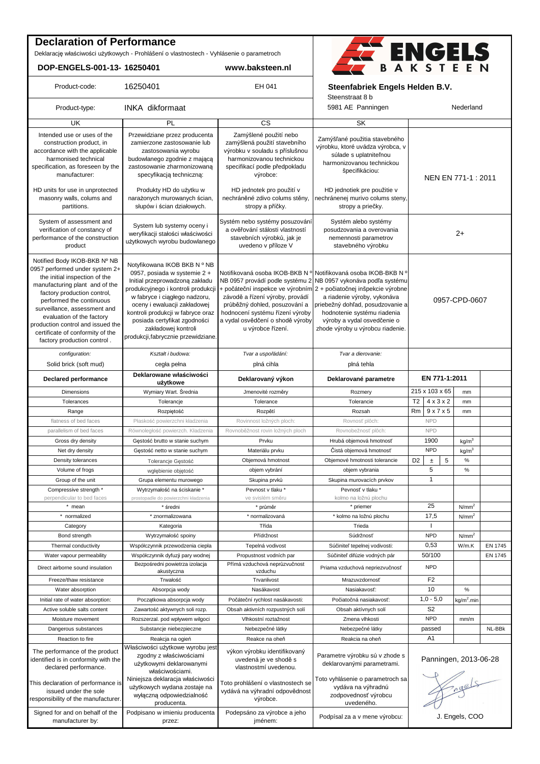## **Declaration of Performance**

Deklarację właściwości użytkowych - Prohlášení o vlastnostech - Vyhlásenie o parametroch

**DOP-ENGELS-001-13- 16250401 www.baksteen.nl**

Signed for and on behalf of the manufacturer by:

Podpisano w imieniu producenta przez:



| Product-code:                                                                                                                                                                                                                                                                                                                                                     | 16250401                                                                                                                                                                                                                                                                                                                                 | EH 041                                                                                                                                                             | Steenstraat 8 b                                                                                                                                                                                                                                                                                                                                                                                    | Steenfabriek Engels Helden B.V.         |                   |         |  |  |
|-------------------------------------------------------------------------------------------------------------------------------------------------------------------------------------------------------------------------------------------------------------------------------------------------------------------------------------------------------------------|------------------------------------------------------------------------------------------------------------------------------------------------------------------------------------------------------------------------------------------------------------------------------------------------------------------------------------------|--------------------------------------------------------------------------------------------------------------------------------------------------------------------|----------------------------------------------------------------------------------------------------------------------------------------------------------------------------------------------------------------------------------------------------------------------------------------------------------------------------------------------------------------------------------------------------|-----------------------------------------|-------------------|---------|--|--|
| Product-type:                                                                                                                                                                                                                                                                                                                                                     | <b>INKA</b> dikformaat                                                                                                                                                                                                                                                                                                                   |                                                                                                                                                                    | 5981 AE Panningen                                                                                                                                                                                                                                                                                                                                                                                  | Nederland                               |                   |         |  |  |
| UK                                                                                                                                                                                                                                                                                                                                                                | PL                                                                                                                                                                                                                                                                                                                                       | $\overline{\text{cs}}$                                                                                                                                             | SK                                                                                                                                                                                                                                                                                                                                                                                                 |                                         |                   |         |  |  |
| Intended use or uses of the<br>construction product, in<br>accordance with the applicable<br>harmonised technical<br>specification, as foreseen by the<br>manufacturer:                                                                                                                                                                                           | Przewidziane przez producenta<br>zamierzone zastosowanie lub<br>zastosowania wyrobu<br>budowlanego zgodnie z mającą<br>zastosowanie zharmonizowaną<br>specyfikacją techniczną:                                                                                                                                                           | Zamýšlené použití nebo<br>zamýšlená použití stavebního<br>výrobku v souladu s příslušnou<br>harmonizovanou technickou<br>specifikací podle předpokladu<br>výrobce: | Zamýšľané použitia stavebného<br>výrobku, ktoré uvádza výrobca, v<br>súlade s uplatniteľnou<br>harmonizovanou technickou<br>špecifikáciou:                                                                                                                                                                                                                                                         | NEN EN 771-1 : 2011                     |                   |         |  |  |
| HD units for use in unprotected<br>masonry walls, colums and<br>partitions.                                                                                                                                                                                                                                                                                       | Produkty HD do użytku w<br>narażonych murowanych ścian,<br>słupów i ścian działowych.                                                                                                                                                                                                                                                    | HD jednotek pro použití v<br>nechráněné zdivo colums stěny,<br>stropy a příčky.                                                                                    | HD jednotiek pre použitie v<br>nechránenej murivo colums steny,<br>stropy a priečky.                                                                                                                                                                                                                                                                                                               |                                         |                   |         |  |  |
| System of assessment and<br>verification of constancy of<br>performance of the construction<br>product                                                                                                                                                                                                                                                            | System lub systemy oceny i<br>weryfikacji stałości właściwości<br>użytkowych wyrobu budowlanego                                                                                                                                                                                                                                          | Systém nebo systémy posuzování<br>a ověřování stálosti vlastností<br>stavebních výrobků, jak je<br>uvedeno v příloze V                                             | Systém alebo systémy<br>posudzovania a overovania<br>nemennosti parametrov<br>stavebného výrobku                                                                                                                                                                                                                                                                                                   | $2+$                                    |                   |         |  |  |
| Notified Body IKOB-BKB Nº NB<br>0957 performed under system 2+<br>the initial inspection of the<br>manufacturing plant and of the<br>factory production control,<br>performed the continuous<br>surveillance, assessment and<br>evaluation of the factory<br>production control and issued the<br>certificate of conformity of the<br>factory production control. | Notvfikowana IKOB BKB N º NB<br>0957, posiada w systemie 2 +<br>Initial przeprowadzoną zakładu<br>produkcyjnego i kontroli produkcji<br>w fabryce i ciągłego nadzoru,<br>oceny i ewaluacji zakładowej<br>kontroli produkcji w fabryce oraz<br>posiada certyfikat zgodności<br>zakładowej kontroli<br>produkcji, fabrycznie przewidziane. | závodě a řízení výroby, provádí<br>průběžný dohled, posuzování a<br>hodnocení systému řízení výroby<br>a vydal osvědčení o shodě výroby<br>u výrobce řízení.       | Notifikovaná osoba IKOB-BKB N <sup>o</sup> Notifikovaná osoba IKOB-BKB N <sup>o</sup><br>NB 0957 provádí podle systému 2 NB 0957 vykonáva podľa systému<br>+ počáteční inspekce ve výrobním 2 + počiatočnej inšpekcie výrobne<br>a riadenie výroby, vykonáva<br>priebežný dohľad, posudzovanie a<br>hodnotenie systému riadenia<br>výroby a vydal osvedčenie o<br>zhode výroby u výrobcu riadenie. | 0957-CPD-0607                           |                   |         |  |  |
| configuration:                                                                                                                                                                                                                                                                                                                                                    | Kształt i budowa:                                                                                                                                                                                                                                                                                                                        | Tvar a uspořádání:                                                                                                                                                 | Tvar a dierovanie:                                                                                                                                                                                                                                                                                                                                                                                 |                                         |                   |         |  |  |
| Solid brick (soft mud)                                                                                                                                                                                                                                                                                                                                            | cegła pełna                                                                                                                                                                                                                                                                                                                              | plná cihla                                                                                                                                                         | plná tehla                                                                                                                                                                                                                                                                                                                                                                                         |                                         |                   |         |  |  |
| <b>Declared performance</b>                                                                                                                                                                                                                                                                                                                                       | Deklarowane właściwości<br>użytkowe                                                                                                                                                                                                                                                                                                      | Deklarovaný výkon                                                                                                                                                  | Deklarované parametre                                                                                                                                                                                                                                                                                                                                                                              | EN 771-1:2011                           |                   |         |  |  |
| Dimensions                                                                                                                                                                                                                                                                                                                                                        | Wymiary Wart. Średnia                                                                                                                                                                                                                                                                                                                    | Jmenovité rozměry                                                                                                                                                  | Rozmery                                                                                                                                                                                                                                                                                                                                                                                            | 215 x 103 x 65                          | mm                |         |  |  |
| Tolerances                                                                                                                                                                                                                                                                                                                                                        | Tolerancje                                                                                                                                                                                                                                                                                                                               | Tolerance                                                                                                                                                          | Tolerancie                                                                                                                                                                                                                                                                                                                                                                                         | $4 \times 3 \times 2$<br>T <sub>2</sub> | mm                |         |  |  |
| Range                                                                                                                                                                                                                                                                                                                                                             | Rozpiętość                                                                                                                                                                                                                                                                                                                               | Rozpětí                                                                                                                                                            | Rozsah                                                                                                                                                                                                                                                                                                                                                                                             | 9x7x5<br>Rm                             | mm                |         |  |  |
| flatness of bed faces                                                                                                                                                                                                                                                                                                                                             | Płaskość powierzchni kładzenia                                                                                                                                                                                                                                                                                                           | Rovinnost ložných ploch:                                                                                                                                           | Rovnosť plôch:                                                                                                                                                                                                                                                                                                                                                                                     | <b>NPD</b>                              |                   |         |  |  |
| parallelism of bed faces                                                                                                                                                                                                                                                                                                                                          | Równoległość powierzch. Kładzenia                                                                                                                                                                                                                                                                                                        | Rovnoběžnost rovin ložných ploch                                                                                                                                   | Rovnobežnosť plôch:                                                                                                                                                                                                                                                                                                                                                                                | <b>NPD</b>                              |                   |         |  |  |
| Gross dry density                                                                                                                                                                                                                                                                                                                                                 | Gęstość brutto w stanie suchym                                                                                                                                                                                                                                                                                                           | Prvku                                                                                                                                                              | Hrubá objemová hmotnosť                                                                                                                                                                                                                                                                                                                                                                            | 1900                                    | kg/m <sup>3</sup> |         |  |  |
| Net dry density                                                                                                                                                                                                                                                                                                                                                   | Gęstość netto w stanie suchym                                                                                                                                                                                                                                                                                                            | Materiálu prvku                                                                                                                                                    | Čistá objemová hmotnosť                                                                                                                                                                                                                                                                                                                                                                            | <b>NPD</b>                              | kg/m <sup>3</sup> |         |  |  |
| Density tolerances                                                                                                                                                                                                                                                                                                                                                | Tolerancje Gęstość                                                                                                                                                                                                                                                                                                                       | Objemová hmotnost                                                                                                                                                  | Objemové hmotnosti tolerancie                                                                                                                                                                                                                                                                                                                                                                      | 5<br>D <sub>2</sub><br>$\pm$            | $\%$              |         |  |  |
| Volume of frogs                                                                                                                                                                                                                                                                                                                                                   | wgłębienie objętość                                                                                                                                                                                                                                                                                                                      | objem vybrání                                                                                                                                                      | objem vybrania                                                                                                                                                                                                                                                                                                                                                                                     | 5                                       | $\%$              |         |  |  |
| Group of the unit                                                                                                                                                                                                                                                                                                                                                 | Grupa elementu murowego                                                                                                                                                                                                                                                                                                                  | Skupina prvků                                                                                                                                                      | Skupina murovacích prvkov                                                                                                                                                                                                                                                                                                                                                                          | $\mathbf{1}$                            |                   |         |  |  |
| Compressive strength *                                                                                                                                                                                                                                                                                                                                            | Wytrzymałość na ściskanie *                                                                                                                                                                                                                                                                                                              | Pevnost v tlaku *                                                                                                                                                  | Pevnosť v tlaku*                                                                                                                                                                                                                                                                                                                                                                                   |                                         |                   |         |  |  |
| perpendicular to bed faces                                                                                                                                                                                                                                                                                                                                        | prostopadle do powierzchni kładzenia                                                                                                                                                                                                                                                                                                     | ve svislém směru                                                                                                                                                   | kolmo na ložnú plochu                                                                                                                                                                                                                                                                                                                                                                              |                                         |                   |         |  |  |
| * mean                                                                                                                                                                                                                                                                                                                                                            | * średni                                                                                                                                                                                                                                                                                                                                 | * průměr                                                                                                                                                           | * priemer                                                                                                                                                                                                                                                                                                                                                                                          | 25                                      | N/mm <sup>2</sup> |         |  |  |
| normalized                                                                                                                                                                                                                                                                                                                                                        | * znormalizowana                                                                                                                                                                                                                                                                                                                         | * normalizovaná                                                                                                                                                    | * kolmo na ložnú plochu                                                                                                                                                                                                                                                                                                                                                                            | 17,5                                    | N/mm <sup>2</sup> |         |  |  |
| Category                                                                                                                                                                                                                                                                                                                                                          | Kategoria                                                                                                                                                                                                                                                                                                                                | Třída                                                                                                                                                              | Trieda                                                                                                                                                                                                                                                                                                                                                                                             | л.                                      |                   |         |  |  |
| Bond strength                                                                                                                                                                                                                                                                                                                                                     | Wytrzymałość spoiny                                                                                                                                                                                                                                                                                                                      | Přídržnost                                                                                                                                                         | Súdržnosť                                                                                                                                                                                                                                                                                                                                                                                          | <b>NPD</b>                              | N/mm <sup>2</sup> |         |  |  |
| Thermal conductivity                                                                                                                                                                                                                                                                                                                                              | Współczynnik przewodzenia ciepła                                                                                                                                                                                                                                                                                                         | Tepelná vodivost                                                                                                                                                   | Súčiniteľ tepelnej vodivosti:                                                                                                                                                                                                                                                                                                                                                                      | 0,53                                    | W/m.K             | EN 1745 |  |  |
|                                                                                                                                                                                                                                                                                                                                                                   |                                                                                                                                                                                                                                                                                                                                          |                                                                                                                                                                    |                                                                                                                                                                                                                                                                                                                                                                                                    | 50/100                                  |                   | EN 1745 |  |  |
| Water vapour permeability<br>Direct airborne sound insulation                                                                                                                                                                                                                                                                                                     | Współczynnik dyfuzji pary wodnej<br>Bezpośredni powietrza izolacja<br>akustyczna                                                                                                                                                                                                                                                         | Propustnost vodních par<br>Přímá vzduchová neprůzvučnost<br>vzduchu                                                                                                | Súčiniteľ difúzie vodných pár<br>Priama vzduchová nepriezvučnosť                                                                                                                                                                                                                                                                                                                                   | <b>NPD</b>                              |                   |         |  |  |
| Freeze/thaw resistance                                                                                                                                                                                                                                                                                                                                            | Trwałość                                                                                                                                                                                                                                                                                                                                 | Trvanlivost                                                                                                                                                        | Mrazuvzdornosť                                                                                                                                                                                                                                                                                                                                                                                     | F <sub>2</sub>                          |                   |         |  |  |
| Water absorption                                                                                                                                                                                                                                                                                                                                                  | Absorpcja wody                                                                                                                                                                                                                                                                                                                           | Nasákavost                                                                                                                                                         | Nasiakavosť:                                                                                                                                                                                                                                                                                                                                                                                       | 10                                      | $\%$              |         |  |  |
|                                                                                                                                                                                                                                                                                                                                                                   |                                                                                                                                                                                                                                                                                                                                          |                                                                                                                                                                    |                                                                                                                                                                                                                                                                                                                                                                                                    | $1,0 - 5,0$                             |                   |         |  |  |
| Initial rate of water absorption:                                                                                                                                                                                                                                                                                                                                 | Początkowa absorpcja wody                                                                                                                                                                                                                                                                                                                | Počáteční rychlost nasákavosti:                                                                                                                                    | Počiatočná nasiakavosť:                                                                                                                                                                                                                                                                                                                                                                            |                                         | $kg/m2$ .min      |         |  |  |
| Active soluble salts content                                                                                                                                                                                                                                                                                                                                      | Zawartość aktywnych soli rozp.                                                                                                                                                                                                                                                                                                           | Obsah aktivních rozpustných solí                                                                                                                                   | Obsah aktívnych solí                                                                                                                                                                                                                                                                                                                                                                               | S <sub>2</sub>                          |                   |         |  |  |
| Moisture movement                                                                                                                                                                                                                                                                                                                                                 | Rozszerzal. pod wpływem wilgoci                                                                                                                                                                                                                                                                                                          | Vlhkostní roztažnost                                                                                                                                               | Zmena vlhkosti                                                                                                                                                                                                                                                                                                                                                                                     | <b>NPD</b>                              | mm/m              |         |  |  |
| Dangerous substances                                                                                                                                                                                                                                                                                                                                              | Substancje niebezpieczne                                                                                                                                                                                                                                                                                                                 | Nebezpečné látky                                                                                                                                                   | Nebezpečné látky                                                                                                                                                                                                                                                                                                                                                                                   | passed                                  |                   | NL-BBk  |  |  |
| Reaction to fire<br>The performance of the product<br>identified is in conformity with the<br>declared performance.<br>This declaration of performance is                                                                                                                                                                                                         | Reakcja na ogień<br>Właściwości użytkowe wyrobu jest<br>zgodny z właściwościami<br>użytkowymi deklarowanymi<br>właściwościami.<br>Niniejsza deklaracja właściwości                                                                                                                                                                       | Reakce na oheň<br>výkon výrobku identifikovaný<br>uvedená je ve shodě s<br>vlastnostmí uvedenou.<br>Toto prohlášení o vlastnostech se                              | Reakcia na oheň<br>Parametre výrobku sú v zhode s<br>deklarovanými parametrami.<br>Toto vyhlásenie o parametroch sa                                                                                                                                                                                                                                                                                | A1<br>Panningen, 2013-06-28             |                   |         |  |  |
| issued under the sole<br>responsibility of the manufacturer.                                                                                                                                                                                                                                                                                                      | użytkowych wydana zostaje na<br>wyłączną odpowiedzialność<br>producenta.                                                                                                                                                                                                                                                                 | vydává na výhradní odpovědnost<br>výrobce.                                                                                                                         | vydáva na výhradnú<br>zodpovednosť výrobcu<br>uvedeného.                                                                                                                                                                                                                                                                                                                                           | Fracts                                  |                   |         |  |  |
| Signed for and on behalf of the<br>manufacturer by:                                                                                                                                                                                                                                                                                                               | Podpisano w imieniu producenta<br>przez:                                                                                                                                                                                                                                                                                                 | Podepsáno za výrobce a jeho<br>iménem <sup>.</sup>                                                                                                                 | Podpísal za a v mene výrobcu:                                                                                                                                                                                                                                                                                                                                                                      | J. Engels, COO                          |                   |         |  |  |

Podepsáno za výrobce a jeho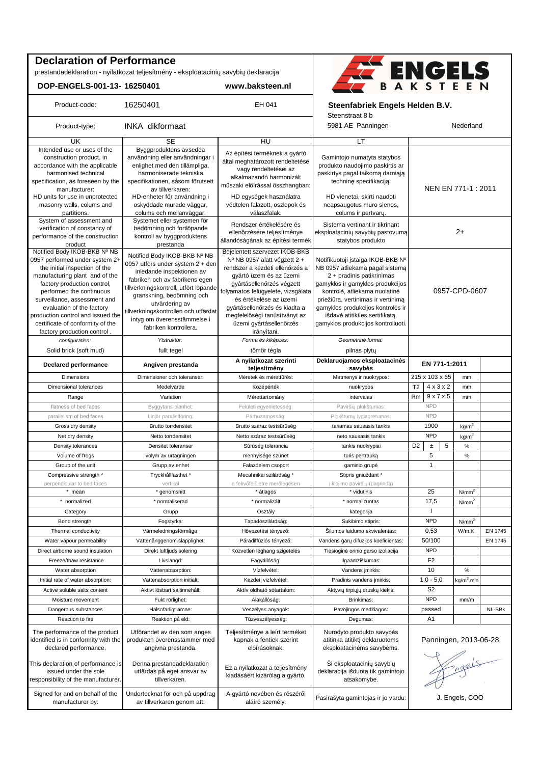## **Declaration of Performance**

prestandadeklaration - nyilatkozat teljesítmény - eksploatacinių savybių deklaracija

**DOP-ENGELS-001-13- 16250401 www.baksteen.nl**



#### Product-code: 16250401 **EH 041 Steenfabriek Engels Helden B.V.**

Steenstraat 8 b

| Product-type:                                                                                                                                                                                                                                                                                                                     | INKA dikformaat                                                                                                                                                                                                                                                                                                         |                                                                                                                                                                                                                                                                                                     | 5981 AE Panningen<br>Nederland                                                                                                                                                                                                                                                                                            |                       |                       |                        |                   |  |  |
|-----------------------------------------------------------------------------------------------------------------------------------------------------------------------------------------------------------------------------------------------------------------------------------------------------------------------------------|-------------------------------------------------------------------------------------------------------------------------------------------------------------------------------------------------------------------------------------------------------------------------------------------------------------------------|-----------------------------------------------------------------------------------------------------------------------------------------------------------------------------------------------------------------------------------------------------------------------------------------------------|---------------------------------------------------------------------------------------------------------------------------------------------------------------------------------------------------------------------------------------------------------------------------------------------------------------------------|-----------------------|-----------------------|------------------------|-------------------|--|--|
| UK                                                                                                                                                                                                                                                                                                                                | SE                                                                                                                                                                                                                                                                                                                      | HU                                                                                                                                                                                                                                                                                                  | LT                                                                                                                                                                                                                                                                                                                        |                       |                       |                        |                   |  |  |
| Intended use or uses of the<br>construction product, in<br>accordance with the applicable<br>harmonised technical<br>specification, as foreseen by the<br>manufacturer:<br>HD units for use in unprotected<br>masonry walls, colums and<br>partitions.<br>System of assessment and                                                | Byggproduktens avsedda<br>användning eller användningar i<br>enlighet med den tillämpliga,<br>harmoniserade tekniska<br>specifikationen, såsom förutsett<br>av tillverkaren:<br>HD-enheter för användning i<br>oskyddade murade väggar,<br>colums och mellanväggar.<br>Systemet eller systemen för                      | Az építési terméknek a gyártó<br>által meghatározott rendeltetése<br>vagy rendeltetései az<br>alkalmazandó harmonizált<br>műszaki előírással összhangban:<br>HD egységek használatra<br>védtelen falazott, oszlopok és<br>válaszfalak.                                                              | Gamintojo numatyta statybos<br>produkto naudojimo paskirtis ar<br>paskirtys pagal taikomą darniąją<br>techninę specifikaciją:<br>HD vienetai, skirti naudoti<br>neapsaugotus mūro sienos,<br>colums ir pertvary.                                                                                                          | NEN EN 771-1 : 2011   |                       |                        |                   |  |  |
| verification of constancy of<br>performance of the construction<br>product<br>Notified Body IKOB-BKB Nº NB                                                                                                                                                                                                                        | bedömning och fortlöpande<br>kontroll av byggproduktens<br>prestanda                                                                                                                                                                                                                                                    | Rendszer értékelésére és<br>ellenőrzésére teljesítménye<br>állandóságának az építési termék<br>Bejelentett szervezet IKOB-BKB                                                                                                                                                                       | Sistema vertinant ir tikrinant<br>eksploatacinių savybių pastovumą<br>statybos produkto                                                                                                                                                                                                                                   |                       |                       |                        | $2+$              |  |  |
| 0957 performed under system 2+<br>the initial inspection of the<br>manufacturing plant and of the<br>factory production control,<br>performed the continuous<br>surveillance, assessment and<br>evaluation of the factory<br>production control and issued the<br>certificate of conformity of the<br>factory production control. | Notified Body IKOB-BKB Nº NB<br>0957 utförs under system 2 + den<br>inledande inspektionen av<br>fabriken och av fabrikens egen<br>tillverkningskontroll, utfört löpande<br>granskning, bedömning och<br>utvärdering av<br>tillverkningskontrollen och utfärdat<br>intyg om överensstämmelse i<br>fabriken kontrollera. | Nº NB 0957 alatt végzett 2 +<br>rendszer a kezdeti ellenőrzés a<br>gyártó üzem és az üzemi<br>gyártásellenőrzés végzett<br>folyamatos felügyelete, vizsgálata<br>és értékelése az üzemi<br>gyártásellenőrzés és kiadta a<br>megfelelőségi tanúsítványt az<br>üzemi gyártásellenőrzés<br>irányítani. | Notifikuotoji įstaiga IKOB-BKB Nº<br>NB 0957 atliekama pagal sistema<br>2 + pradinis patikrinimas<br>gamyklos ir gamyklos produkcijos<br>kontrolė, atliekama nuolatinė<br>priežiūra, vertinimas ir vertinima<br>gamyklos produkcijos kontrolės ir<br>išdavė atitikties sertifikatą,<br>gamyklos produkcijos kontroliuoti. | 0957-CPD-0607         |                       |                        |                   |  |  |
| configuration:                                                                                                                                                                                                                                                                                                                    | Ytstruktur:                                                                                                                                                                                                                                                                                                             | Forma és kiképzés:                                                                                                                                                                                                                                                                                  | Geometrinė forma:                                                                                                                                                                                                                                                                                                         |                       |                       |                        |                   |  |  |
| Solid brick (soft mud)                                                                                                                                                                                                                                                                                                            | fullt tegel                                                                                                                                                                                                                                                                                                             | tömör tégla                                                                                                                                                                                                                                                                                         | pilnas plytų                                                                                                                                                                                                                                                                                                              |                       |                       |                        |                   |  |  |
| <b>Declared performance</b>                                                                                                                                                                                                                                                                                                       | Angiven prestanda                                                                                                                                                                                                                                                                                                       | A nyilatkozat szerinti<br>teljesítmény                                                                                                                                                                                                                                                              | Deklaruojamos eksploatacinės<br>savybės                                                                                                                                                                                                                                                                                   | EN 771-1:2011         |                       |                        |                   |  |  |
| Dimensions                                                                                                                                                                                                                                                                                                                        | Dimensioner och toleranser:                                                                                                                                                                                                                                                                                             | Méretek és mérettűrés:                                                                                                                                                                                                                                                                              | Matmenys ir nuokrypos:                                                                                                                                                                                                                                                                                                    |                       | 215 x 103 x 65        |                        | mm                |  |  |
| Dimensional tolerances                                                                                                                                                                                                                                                                                                            | Medelvärde                                                                                                                                                                                                                                                                                                              | Középérték                                                                                                                                                                                                                                                                                          | nuokrypos                                                                                                                                                                                                                                                                                                                 | T <sub>2</sub>        | $4 \times 3 \times 2$ |                        | mm                |  |  |
|                                                                                                                                                                                                                                                                                                                                   |                                                                                                                                                                                                                                                                                                                         |                                                                                                                                                                                                                                                                                                     |                                                                                                                                                                                                                                                                                                                           |                       |                       |                        |                   |  |  |
| Range                                                                                                                                                                                                                                                                                                                             | Variation                                                                                                                                                                                                                                                                                                               | Mérettartomány                                                                                                                                                                                                                                                                                      | intervalas                                                                                                                                                                                                                                                                                                                | Rm                    | 9x7x5                 |                        | mm                |  |  |
| flatness of bed faces                                                                                                                                                                                                                                                                                                             | Byggytans planhet:                                                                                                                                                                                                                                                                                                      | Felületi egyenletesség:                                                                                                                                                                                                                                                                             | Paviršių plokštumas:                                                                                                                                                                                                                                                                                                      |                       | <b>NPD</b>            |                        |                   |  |  |
| parallelism of bed faces                                                                                                                                                                                                                                                                                                          | Linjär parallelföring:                                                                                                                                                                                                                                                                                                  | Párhuzamosság:                                                                                                                                                                                                                                                                                      | Plokštumų lygiagretumas:                                                                                                                                                                                                                                                                                                  |                       | <b>NPD</b>            |                        |                   |  |  |
| Gross dry density                                                                                                                                                                                                                                                                                                                 | <b>Brutto torrdensitet</b>                                                                                                                                                                                                                                                                                              | Brutto száraz testsűrűség                                                                                                                                                                                                                                                                           | tariamas sausasis tankis                                                                                                                                                                                                                                                                                                  |                       | 1900                  |                        | kg/m <sup>3</sup> |  |  |
| Net dry density                                                                                                                                                                                                                                                                                                                   | Netto torrdensitet                                                                                                                                                                                                                                                                                                      | Netto száraz testsűrűség                                                                                                                                                                                                                                                                            | neto sausasis tankis                                                                                                                                                                                                                                                                                                      |                       | <b>NPD</b>            |                        | kg/m <sup>3</sup> |  |  |
| Density tolerances                                                                                                                                                                                                                                                                                                                | Densitet toleranser                                                                                                                                                                                                                                                                                                     | Sűrűség tolerancia                                                                                                                                                                                                                                                                                  | tankis nuokrypiai                                                                                                                                                                                                                                                                                                         | D <sub>2</sub>        | $\pm$                 | $\,$ 5 $\,$            | $\%$              |  |  |
| Volume of frogs                                                                                                                                                                                                                                                                                                                   | volym av urtagningen                                                                                                                                                                                                                                                                                                    | mennyisége szünet                                                                                                                                                                                                                                                                                   | tūris pertrauką                                                                                                                                                                                                                                                                                                           |                       | 5                     |                        | $\%$              |  |  |
| Group of the unit                                                                                                                                                                                                                                                                                                                 | Grupp av enhet                                                                                                                                                                                                                                                                                                          | Falazóelem csoport                                                                                                                                                                                                                                                                                  | gaminio grupė                                                                                                                                                                                                                                                                                                             |                       | $\mathbf{1}$          |                        |                   |  |  |
| Compressive strength *                                                                                                                                                                                                                                                                                                            | Tryckhållfasthet*                                                                                                                                                                                                                                                                                                       | Mecahnikai szilárdság*                                                                                                                                                                                                                                                                              | Stipris gniuždant *                                                                                                                                                                                                                                                                                                       |                       |                       |                        |                   |  |  |
| perpendicular to bed faces                                                                                                                                                                                                                                                                                                        | vertikal                                                                                                                                                                                                                                                                                                                | a fekvőfelületre merőlegesen                                                                                                                                                                                                                                                                        | j klojimo paviršių (pagrindą)                                                                                                                                                                                                                                                                                             |                       |                       |                        |                   |  |  |
| * mean                                                                                                                                                                                                                                                                                                                            | * genomsnitt                                                                                                                                                                                                                                                                                                            | * átlagos                                                                                                                                                                                                                                                                                           | * vidutinis                                                                                                                                                                                                                                                                                                               |                       | 25                    |                        | N/mm <sup>2</sup> |  |  |
| * normalized                                                                                                                                                                                                                                                                                                                      | * normaliserad                                                                                                                                                                                                                                                                                                          | * normalizált                                                                                                                                                                                                                                                                                       | * normalizuotas                                                                                                                                                                                                                                                                                                           |                       | 17,5                  |                        | N/mm <sup>2</sup> |  |  |
| Category                                                                                                                                                                                                                                                                                                                          | Grupp                                                                                                                                                                                                                                                                                                                   | Osztály                                                                                                                                                                                                                                                                                             | kategorija                                                                                                                                                                                                                                                                                                                |                       | $\mathbf{I}$          |                        |                   |  |  |
| Bond strength                                                                                                                                                                                                                                                                                                                     | Fogstyrka:                                                                                                                                                                                                                                                                                                              | Tapadószilárdság:                                                                                                                                                                                                                                                                                   | Sukibimo stipris:                                                                                                                                                                                                                                                                                                         |                       | <b>NPD</b>            |                        | N/mm <sup>2</sup> |  |  |
| Thermal conductivity                                                                                                                                                                                                                                                                                                              | Värmeledningsförmåga:                                                                                                                                                                                                                                                                                                   | Hővezetési tényező:                                                                                                                                                                                                                                                                                 | Silumos laidumo ekvivalentas:                                                                                                                                                                                                                                                                                             |                       |                       | W/m.K                  | EN 1745           |  |  |
| Water vapour permeability                                                                                                                                                                                                                                                                                                         | Vattenånggenom-släpplighet:                                                                                                                                                                                                                                                                                             | Páradiffúziós tényező:                                                                                                                                                                                                                                                                              | Vandens garų difuzijos koeficientas:                                                                                                                                                                                                                                                                                      | 0,53<br>50/100        |                       |                        | EN 1745           |  |  |
| Direct airborne sound insulation                                                                                                                                                                                                                                                                                                  | Direkt luftljudsisolering                                                                                                                                                                                                                                                                                               |                                                                                                                                                                                                                                                                                                     | Tiesioginė orinio garso izoliacija                                                                                                                                                                                                                                                                                        |                       |                       |                        |                   |  |  |
|                                                                                                                                                                                                                                                                                                                                   |                                                                                                                                                                                                                                                                                                                         | Közvetlen léghang szigetelés                                                                                                                                                                                                                                                                        |                                                                                                                                                                                                                                                                                                                           | <b>NPD</b>            |                       |                        |                   |  |  |
| Freeze/thaw resistance                                                                                                                                                                                                                                                                                                            | Livslängd:                                                                                                                                                                                                                                                                                                              | Fagyállóság:                                                                                                                                                                                                                                                                                        | Ilgaamžiškumas:                                                                                                                                                                                                                                                                                                           | F <sub>2</sub>        |                       |                        |                   |  |  |
| Water absorption                                                                                                                                                                                                                                                                                                                  | Vattenabsorption:                                                                                                                                                                                                                                                                                                       | Vízfelvétel:                                                                                                                                                                                                                                                                                        | Vandens jmirkis:                                                                                                                                                                                                                                                                                                          | 10                    |                       | $\%$                   |                   |  |  |
| Initial rate of water absorption:                                                                                                                                                                                                                                                                                                 | Vattenabsorption initialt:                                                                                                                                                                                                                                                                                              | Kezdeti vizfelvétel:                                                                                                                                                                                                                                                                                | Pradinis vandens jmirkis:                                                                                                                                                                                                                                                                                                 | $1,0 - 5,0$           |                       | kg/m <sup>2</sup> .min |                   |  |  |
| Active soluble salts content                                                                                                                                                                                                                                                                                                      | Aktivt lösbart saltinnehåll:                                                                                                                                                                                                                                                                                            | Aktív oldható sótartalom:                                                                                                                                                                                                                                                                           | Aktyvių tirpiųjų druskų kiekis:                                                                                                                                                                                                                                                                                           | S <sub>2</sub>        |                       |                        |                   |  |  |
| Moisture movement                                                                                                                                                                                                                                                                                                                 | Fukt rörlighet:                                                                                                                                                                                                                                                                                                         | Alakállóság:                                                                                                                                                                                                                                                                                        | Brinkimas:                                                                                                                                                                                                                                                                                                                | <b>NPD</b>            |                       | mm/m                   |                   |  |  |
| Dangerous substances                                                                                                                                                                                                                                                                                                              | Hälsofarligt ämne:                                                                                                                                                                                                                                                                                                      | Veszélyes anyagok:                                                                                                                                                                                                                                                                                  | Pavojingos medžiagos:                                                                                                                                                                                                                                                                                                     | passed                |                       |                        | NL-BBk            |  |  |
| Reaction to fire                                                                                                                                                                                                                                                                                                                  | Reaktion på eld:                                                                                                                                                                                                                                                                                                        | Tűzveszélyesség:                                                                                                                                                                                                                                                                                    | Degumas:                                                                                                                                                                                                                                                                                                                  |                       | A1                    |                        |                   |  |  |
| The performance of the product<br>identified is in conformity with the<br>declared performance.                                                                                                                                                                                                                                   | Utförandet av den som anges<br>produkten överensstämmer med<br>angivna prestanda.                                                                                                                                                                                                                                       | Teljesítménye a leírt terméket<br>kapnak a fentiek szerint<br>előírásoknak.                                                                                                                                                                                                                         | Nurodyto produkto savybės<br>atitinka atitikti deklaruotoms<br>eksploatacinėms savybėms.                                                                                                                                                                                                                                  | Panningen, 2013-06-28 |                       |                        |                   |  |  |
| This declaration of performance is<br>issued under the sole<br>responsibility of the manufacturer.                                                                                                                                                                                                                                | Denna prestandadeklaration<br>utfärdas på eget ansvar av<br>tillverkaren.                                                                                                                                                                                                                                               | Ez a nyilatkozat a teljesítmény<br>kiadásáért kizárólag a gyártó.                                                                                                                                                                                                                                   | Ši eksploatacinių savybių<br>deklaracija išduota tik gamintojo<br>atsakomybe.                                                                                                                                                                                                                                             | Fragels               |                       |                        |                   |  |  |
| Signed for and on behalf of the<br>manufacturer by:                                                                                                                                                                                                                                                                               | Undertecknat för och på uppdrag<br>av tillverkaren genom att:                                                                                                                                                                                                                                                           | A gyártó nevében és részéről<br>aláíró személy:                                                                                                                                                                                                                                                     | Pasirašyta gamintojas ir jo vardu:                                                                                                                                                                                                                                                                                        | J. Engels, COO        |                       |                        |                   |  |  |